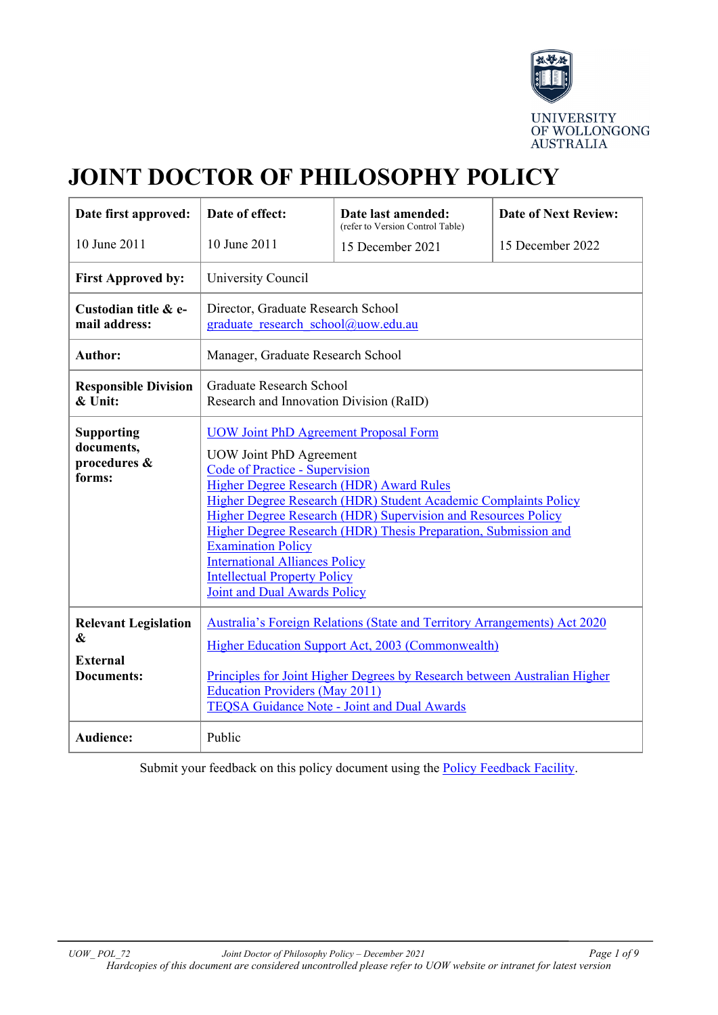

# **JOINT DOCTOR OF PHILOSOPHY POLICY**

| Date first approved:                                                     | Date of effect:                                                                                                                                                                                                                                                                                                                                                                                                                                                                                                         | Date last amended:<br>(refer to Version Control Table) | <b>Date of Next Review:</b> |  |
|--------------------------------------------------------------------------|-------------------------------------------------------------------------------------------------------------------------------------------------------------------------------------------------------------------------------------------------------------------------------------------------------------------------------------------------------------------------------------------------------------------------------------------------------------------------------------------------------------------------|--------------------------------------------------------|-----------------------------|--|
| 10 June 2011                                                             | 10 June 2011                                                                                                                                                                                                                                                                                                                                                                                                                                                                                                            | 15 December 2021                                       | 15 December 2022            |  |
| <b>First Approved by:</b>                                                | University Council                                                                                                                                                                                                                                                                                                                                                                                                                                                                                                      |                                                        |                             |  |
| Custodian title & e-<br>mail address:                                    | Director, Graduate Research School<br>graduate research school@uow.edu.au                                                                                                                                                                                                                                                                                                                                                                                                                                               |                                                        |                             |  |
| <b>Author:</b>                                                           | Manager, Graduate Research School                                                                                                                                                                                                                                                                                                                                                                                                                                                                                       |                                                        |                             |  |
| <b>Responsible Division</b><br>& Unit:                                   | <b>Graduate Research School</b><br>Research and Innovation Division (RaID)                                                                                                                                                                                                                                                                                                                                                                                                                                              |                                                        |                             |  |
| <b>Supporting</b><br>documents,<br>procedures &<br>forms:                | <b>UOW Joint PhD Agreement Proposal Form</b><br><b>UOW Joint PhD Agreement</b><br>Code of Practice - Supervision<br>Higher Degree Research (HDR) Award Rules<br>Higher Degree Research (HDR) Student Academic Complaints Policy<br>Higher Degree Research (HDR) Supervision and Resources Policy<br>Higher Degree Research (HDR) Thesis Preparation, Submission and<br><b>Examination Policy</b><br><b>International Alliances Policy</b><br><b>Intellectual Property Policy</b><br><b>Joint and Dual Awards Policy</b> |                                                        |                             |  |
| <b>Relevant Legislation</b><br>&<br><b>External</b><br><b>Documents:</b> | Australia's Foreign Relations (State and Territory Arrangements) Act 2020<br>Higher Education Support Act, 2003 (Commonwealth)<br>Principles for Joint Higher Degrees by Research between Australian Higher<br><b>Education Providers (May 2011)</b><br><b>TEQSA Guidance Note - Joint and Dual Awards</b>                                                                                                                                                                                                              |                                                        |                             |  |
| <b>Audience:</b>                                                         | Public                                                                                                                                                                                                                                                                                                                                                                                                                                                                                                                  |                                                        |                             |  |

Submit your feedback on this policy document using the [Policy Feedback Facility.](http://www.uow.edu.au/about/policy/feedback/index.html)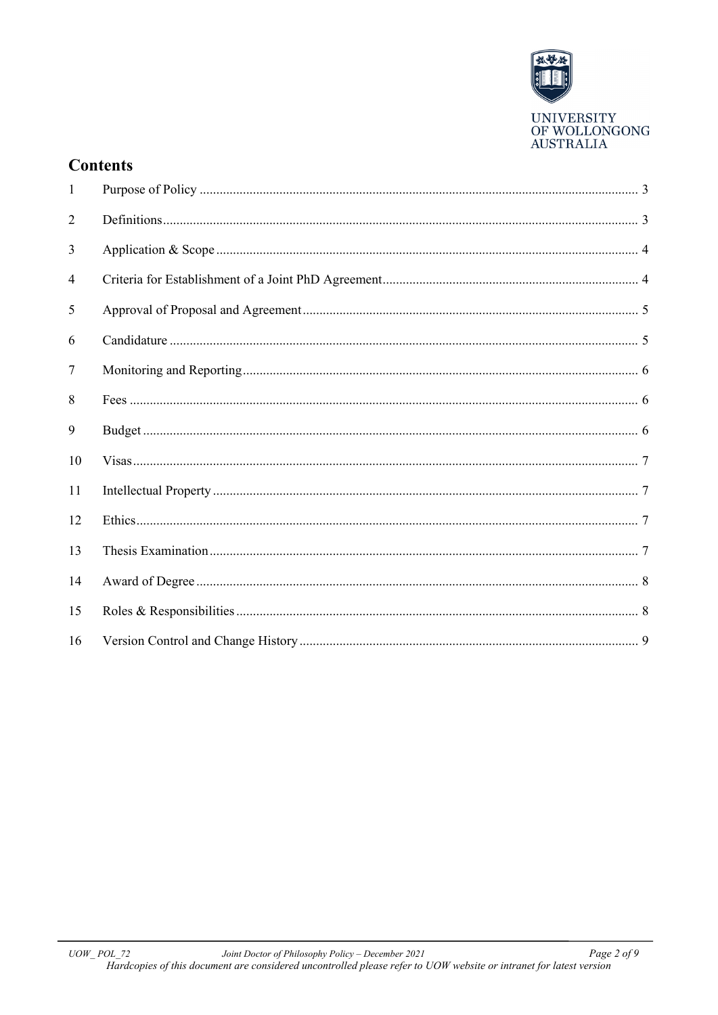

## **Contents**

| $\mathbf{1}$ |  |
|--------------|--|
| 2            |  |
| 3            |  |
| 4            |  |
| 5            |  |
| 6            |  |
| 7            |  |
| 8            |  |
| 9            |  |
| 10           |  |
| 11           |  |
| 12           |  |
| 13           |  |
| 14           |  |
| 15           |  |
| 16           |  |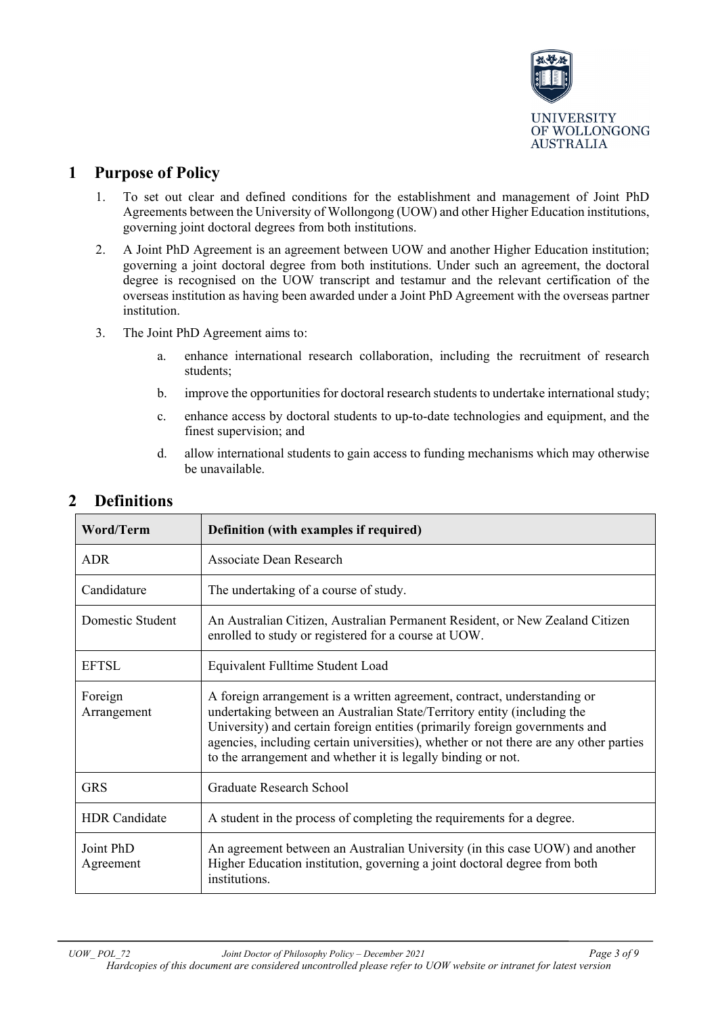

## <span id="page-2-0"></span>**1 Purpose of Policy**

- 1. To set out clear and defined conditions for the establishment and management of Joint PhD Agreements between the University of Wollongong (UOW) and other Higher Education institutions, governing joint doctoral degrees from both institutions.
- 2. A Joint PhD Agreement is an agreement between UOW and another Higher Education institution; governing a joint doctoral degree from both institutions. Under such an agreement, the doctoral degree is recognised on the UOW transcript and testamur and the relevant certification of the overseas institution as having been awarded under a Joint PhD Agreement with the overseas partner institution.
- 3. The Joint PhD Agreement aims to:
	- a. enhance international research collaboration, including the recruitment of research students;
	- b. improve the opportunities for doctoral research students to undertake international study;
	- c. enhance access by doctoral students to up-to-date technologies and equipment, and the finest supervision; and
	- d. allow international students to gain access to funding mechanisms which may otherwise be unavailable.

| <b>Word/Term</b>       | Definition (with examples if required)                                                                                                                                                                                                                                                                                                                                                      |  |
|------------------------|---------------------------------------------------------------------------------------------------------------------------------------------------------------------------------------------------------------------------------------------------------------------------------------------------------------------------------------------------------------------------------------------|--|
| <b>ADR</b>             | Associate Dean Research                                                                                                                                                                                                                                                                                                                                                                     |  |
| Candidature            | The undertaking of a course of study.                                                                                                                                                                                                                                                                                                                                                       |  |
| Domestic Student       | An Australian Citizen, Australian Permanent Resident, or New Zealand Citizen<br>enrolled to study or registered for a course at UOW.                                                                                                                                                                                                                                                        |  |
| <b>EFTSL</b>           | Equivalent Fulltime Student Load                                                                                                                                                                                                                                                                                                                                                            |  |
| Foreign<br>Arrangement | A foreign arrangement is a written agreement, contract, understanding or<br>undertaking between an Australian State/Territory entity (including the<br>University) and certain foreign entities (primarily foreign governments and<br>agencies, including certain universities), whether or not there are any other parties<br>to the arrangement and whether it is legally binding or not. |  |
| <b>GRS</b>             | <b>Graduate Research School</b>                                                                                                                                                                                                                                                                                                                                                             |  |
| <b>HDR</b> Candidate   | A student in the process of completing the requirements for a degree.                                                                                                                                                                                                                                                                                                                       |  |
| Joint PhD<br>Agreement | An agreement between an Australian University (in this case UOW) and another<br>Higher Education institution, governing a joint doctoral degree from both<br>institutions.                                                                                                                                                                                                                  |  |

## <span id="page-2-1"></span>**2 Definitions**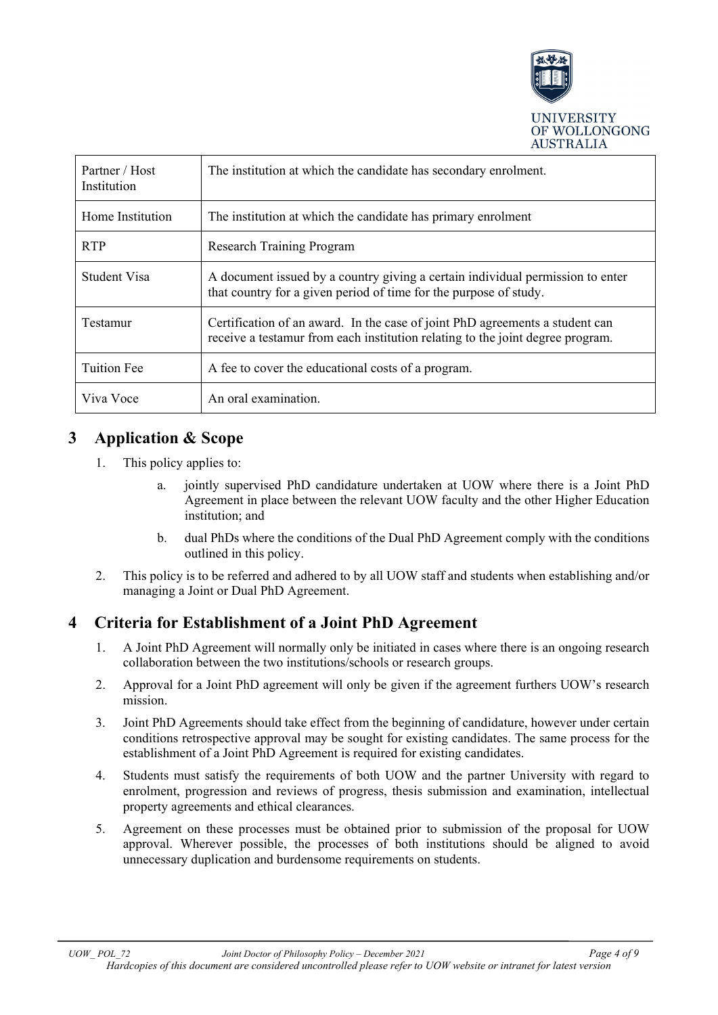

| Partner / Host<br>Institution | The institution at which the candidate has secondary enrolment.                                                                                                |  |
|-------------------------------|----------------------------------------------------------------------------------------------------------------------------------------------------------------|--|
| Home Institution              | The institution at which the candidate has primary enrolment                                                                                                   |  |
| <b>RTP</b>                    | <b>Research Training Program</b>                                                                                                                               |  |
| Student Visa                  | A document issued by a country giving a certain individual permission to enter<br>that country for a given period of time for the purpose of study.            |  |
| Testamur                      | Certification of an award. In the case of joint PhD agreements a student can<br>receive a testamur from each institution relating to the joint degree program. |  |
| <b>Tuition Fee</b>            | A fee to cover the educational costs of a program.                                                                                                             |  |
| Viva Voce                     | An oral examination.                                                                                                                                           |  |

## <span id="page-3-0"></span>**3 Application & Scope**

- 1. This policy applies to:
	- a. jointly supervised PhD candidature undertaken at UOW where there is a Joint PhD Agreement in place between the relevant UOW faculty and the other Higher Education institution; and
	- b. dual PhDs where the conditions of the Dual PhD Agreement comply with the conditions outlined in this policy.
- 2. This policy is to be referred and adhered to by all UOW staff and students when establishing and/or managing a Joint or Dual PhD Agreement.

## <span id="page-3-1"></span>**4 Criteria for Establishment of a Joint PhD Agreement**

- 1. A Joint PhD Agreement will normally only be initiated in cases where there is an ongoing research collaboration between the two institutions/schools or research groups.
- 2. Approval for a Joint PhD agreement will only be given if the agreement furthers UOW's research mission.
- 3. Joint PhD Agreements should take effect from the beginning of candidature, however under certain conditions retrospective approval may be sought for existing candidates. The same process for the establishment of a Joint PhD Agreement is required for existing candidates.
- 4. Students must satisfy the requirements of both UOW and the partner University with regard to enrolment, progression and reviews of progress, thesis submission and examination, intellectual property agreements and ethical clearances.
- 5. Agreement on these processes must be obtained prior to submission of the proposal for UOW approval. Wherever possible, the processes of both institutions should be aligned to avoid unnecessary duplication and burdensome requirements on students.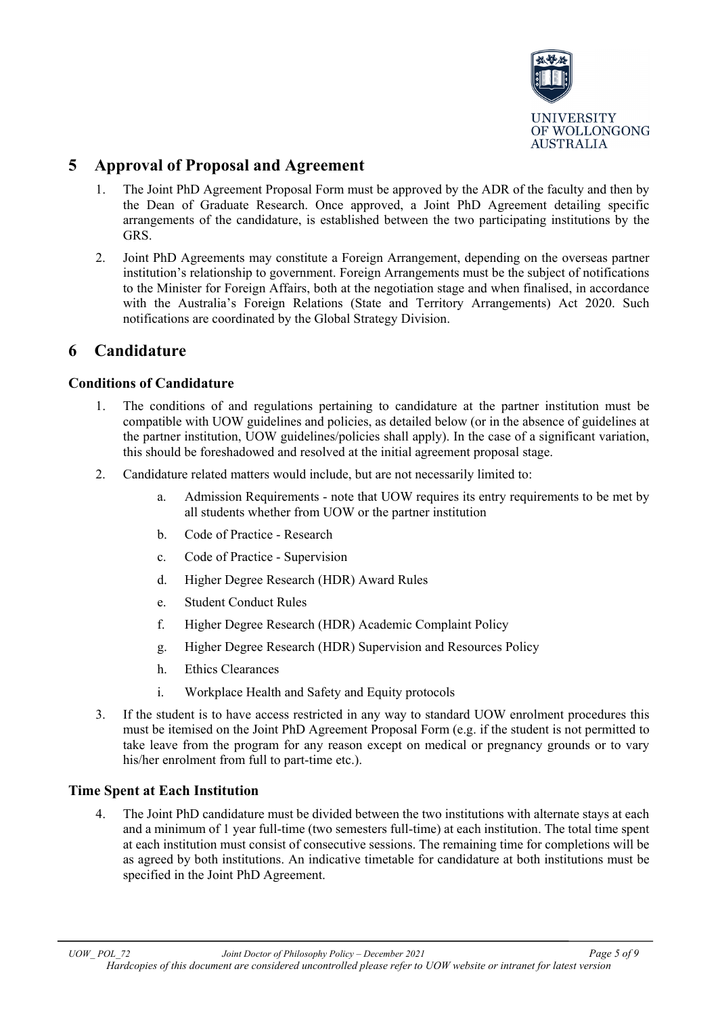

## <span id="page-4-0"></span>**5 Approval of Proposal and Agreement**

- 1. The Joint PhD Agreement Proposal Form must be approved by the ADR of the faculty and then by the Dean of Graduate Research. Once approved, a Joint PhD Agreement detailing specific arrangements of the candidature, is established between the two participating institutions by the GRS.
- 2. Joint PhD Agreements may constitute a Foreign Arrangement, depending on the overseas partner institution's relationship to government. Foreign Arrangements must be the subject of notifications to the Minister for Foreign Affairs, both at the negotiation stage and when finalised, in accordance with the Australia's Foreign Relations (State and Territory Arrangements) Act 2020. Such notifications are coordinated by the Global Strategy Division.

#### <span id="page-4-1"></span>**6 Candidature**

#### **Conditions of Candidature**

- 1. The conditions of and regulations pertaining to candidature at the partner institution must be compatible with UOW guidelines and policies, as detailed below (or in the absence of guidelines at the partner institution, UOW guidelines/policies shall apply). In the case of a significant variation, this should be foreshadowed and resolved at the initial agreement proposal stage.
- 2. Candidature related matters would include, but are not necessarily limited to:
	- a. Admission Requirements note that UOW requires its entry requirements to be met by all students whether from UOW or the partner institution
	- b. Code of Practice Research
	- c. Code of Practice Supervision
	- d. Higher Degree Research (HDR) Award Rules
	- e. Student Conduct Rules
	- f. Higher Degree Research (HDR) Academic Complaint Policy
	- g. Higher Degree Research (HDR) Supervision and Resources Policy
	- h. Ethics Clearances
	- i. Workplace Health and Safety and Equity protocols
- 3. If the student is to have access restricted in any way to standard UOW enrolment procedures this must be itemised on the Joint PhD Agreement Proposal Form (e.g. if the student is not permitted to take leave from the program for any reason except on medical or pregnancy grounds or to vary his/her enrolment from full to part-time etc.).

#### **Time Spent at Each Institution**

4. The Joint PhD candidature must be divided between the two institutions with alternate stays at each and a minimum of 1 year full-time (two semesters full-time) at each institution. The total time spent at each institution must consist of consecutive sessions. The remaining time for completions will be as agreed by both institutions. An indicative timetable for candidature at both institutions must be specified in the Joint PhD Agreement.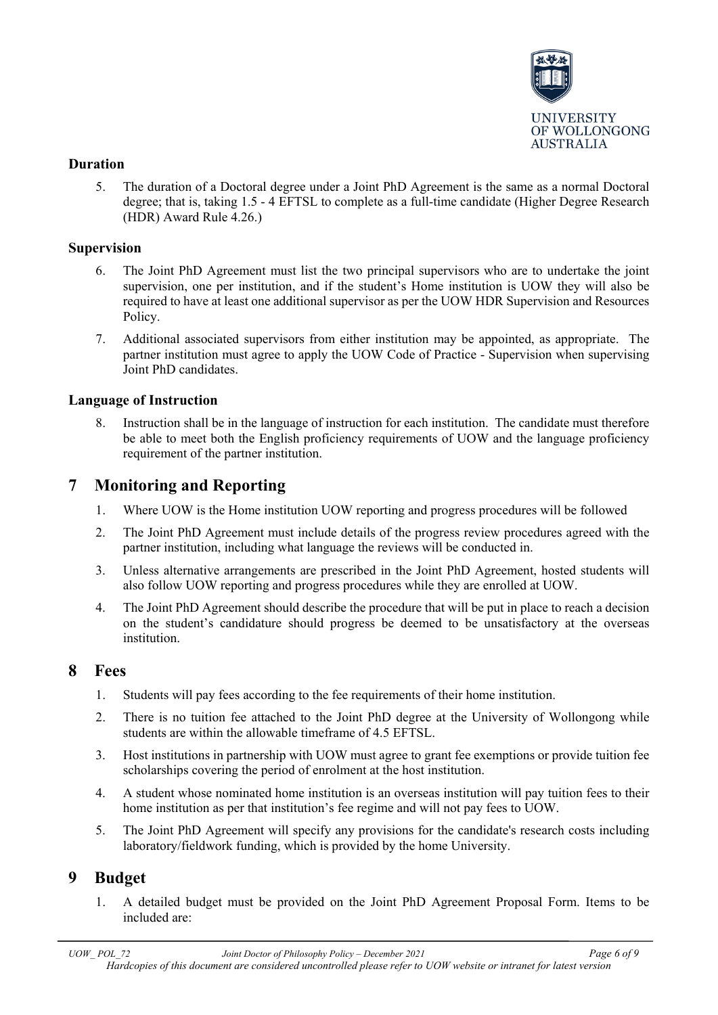

#### **Duration**

5. The duration of a Doctoral degree under a Joint PhD Agreement is the same as a normal Doctoral degree; that is, taking 1.5 - 4 EFTSL to complete as a full-time candidate (Higher Degree Research (HDR) Award Rule 4.26.)

#### **Supervision**

- 6. The Joint PhD Agreement must list the two principal supervisors who are to undertake the joint supervision, one per institution, and if the student's Home institution is UOW they will also be required to have at least one additional supervisor as per the UOW HDR Supervision and Resources Policy.
- 7. Additional associated supervisors from either institution may be appointed, as appropriate. The partner institution must agree to apply the UOW Code of Practice - Supervision when supervising Joint PhD candidates.

#### **Language of Instruction**

Instruction shall be in the language of instruction for each institution. The candidate must therefore be able to meet both the English proficiency requirements of UOW and the language proficiency requirement of the partner institution.

## <span id="page-5-0"></span>**7 Monitoring and Reporting**

- 1. Where UOW is the Home institution UOW reporting and progress procedures will be followed
- 2. The Joint PhD Agreement must include details of the progress review procedures agreed with the partner institution, including what language the reviews will be conducted in.
- 3. Unless alternative arrangements are prescribed in the Joint PhD Agreement, hosted students will also follow UOW reporting and progress procedures while they are enrolled at UOW.
- 4. The Joint PhD Agreement should describe the procedure that will be put in place to reach a decision on the student's candidature should progress be deemed to be unsatisfactory at the overseas institution.

## <span id="page-5-1"></span>**8 Fees**

- 1. Students will pay fees according to the fee requirements of their home institution.
- 2. There is no tuition fee attached to the Joint PhD degree at the University of Wollongong while students are within the allowable timeframe of 4.5 EFTSL.
- 3. Host institutions in partnership with UOW must agree to grant fee exemptions or provide tuition fee scholarships covering the period of enrolment at the host institution.
- 4. A student whose nominated home institution is an overseas institution will pay tuition fees to their home institution as per that institution's fee regime and will not pay fees to UOW.
- 5. The Joint PhD Agreement will specify any provisions for the candidate's research costs including laboratory/fieldwork funding, which is provided by the home University.

## <span id="page-5-2"></span>**9 Budget**

1. A detailed budget must be provided on the Joint PhD Agreement Proposal Form. Items to be included are: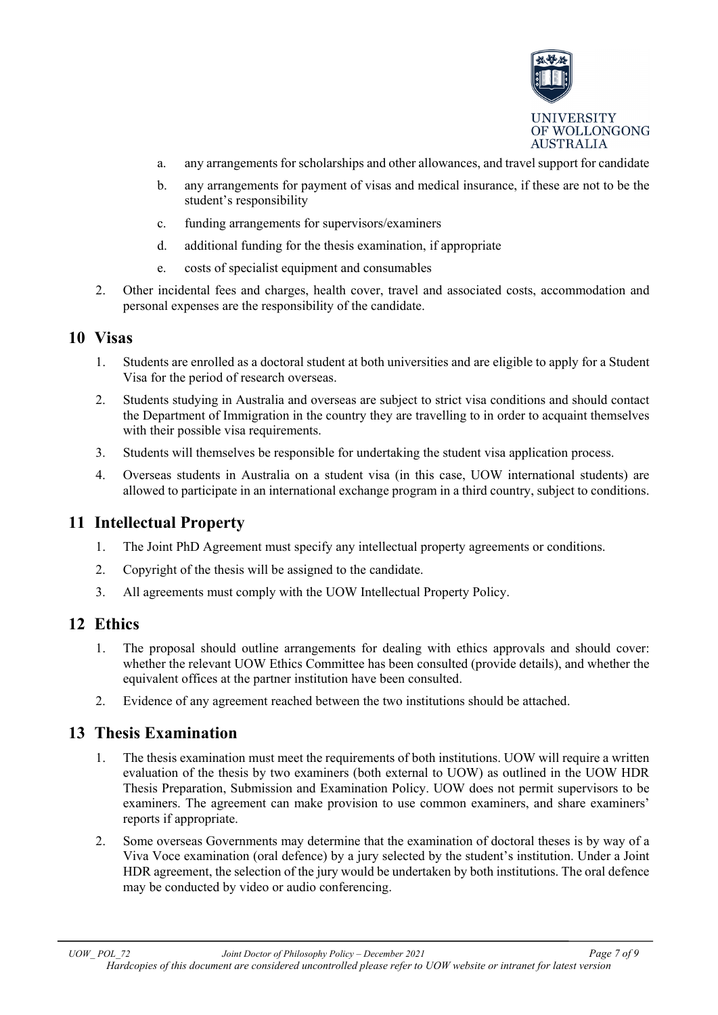

- a. any arrangements for scholarships and other allowances, and travel support for candidate
- b. any arrangements for payment of visas and medical insurance, if these are not to be the student's responsibility
- c. funding arrangements for supervisors/examiners
- d. additional funding for the thesis examination, if appropriate
- e. costs of specialist equipment and consumables
- 2. Other incidental fees and charges, health cover, travel and associated costs, accommodation and personal expenses are the responsibility of the candidate.

#### <span id="page-6-0"></span>**10 Visas**

- 1. Students are enrolled as a doctoral student at both universities and are eligible to apply for a Student Visa for the period of research overseas.
- 2. Students studying in Australia and overseas are subject to strict visa conditions and should contact the Department of Immigration in the country they are travelling to in order to acquaint themselves with their possible visa requirements.
- 3. Students will themselves be responsible for undertaking the student visa application process.
- 4. Overseas students in Australia on a student visa (in this case, UOW international students) are allowed to participate in an international exchange program in a third country, subject to conditions.

#### <span id="page-6-1"></span>**11 Intellectual Property**

- 1. The Joint PhD Agreement must specify any intellectual property agreements or conditions.
- 2. Copyright of the thesis will be assigned to the candidate.
- 3. All agreements must comply with the UOW Intellectual Property Policy.

#### <span id="page-6-2"></span>**12 Ethics**

- 1. The proposal should outline arrangements for dealing with ethics approvals and should cover: whether the relevant UOW Ethics Committee has been consulted (provide details), and whether the equivalent offices at the partner institution have been consulted.
- 2. Evidence of any agreement reached between the two institutions should be attached.

#### <span id="page-6-3"></span>**13 Thesis Examination**

- 1. The thesis examination must meet the requirements of both institutions. UOW will require a written evaluation of the thesis by two examiners (both external to UOW) as outlined in the UOW HDR Thesis Preparation, Submission and Examination Policy. UOW does not permit supervisors to be examiners. The agreement can make provision to use common examiners, and share examiners' reports if appropriate.
- 2. Some overseas Governments may determine that the examination of doctoral theses is by way of a Viva Voce examination (oral defence) by a jury selected by the student's institution. Under a Joint HDR agreement, the selection of the jury would be undertaken by both institutions. The oral defence may be conducted by video or audio conferencing.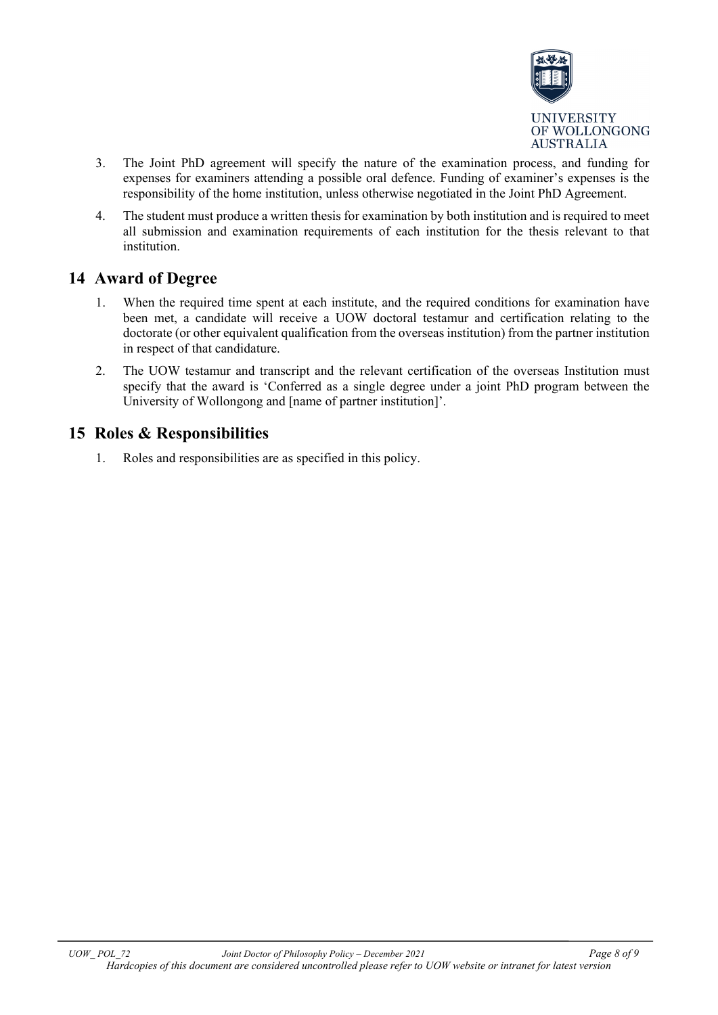

- 3. The Joint PhD agreement will specify the nature of the examination process, and funding for expenses for examiners attending a possible oral defence. Funding of examiner's expenses is the responsibility of the home institution, unless otherwise negotiated in the Joint PhD Agreement.
- 4. The student must produce a written thesis for examination by both institution and is required to meet all submission and examination requirements of each institution for the thesis relevant to that institution.

## <span id="page-7-0"></span>**14 Award of Degree**

- 1. When the required time spent at each institute, and the required conditions for examination have been met, a candidate will receive a UOW doctoral testamur and certification relating to the doctorate (or other equivalent qualification from the overseas institution) from the partner institution in respect of that candidature.
- 2. The UOW testamur and transcript and the relevant certification of the overseas Institution must specify that the award is 'Conferred as a single degree under a joint PhD program between the University of Wollongong and [name of partner institution]'.

## <span id="page-7-1"></span>**15 Roles & Responsibilities**

1. Roles and responsibilities are as specified in this policy.